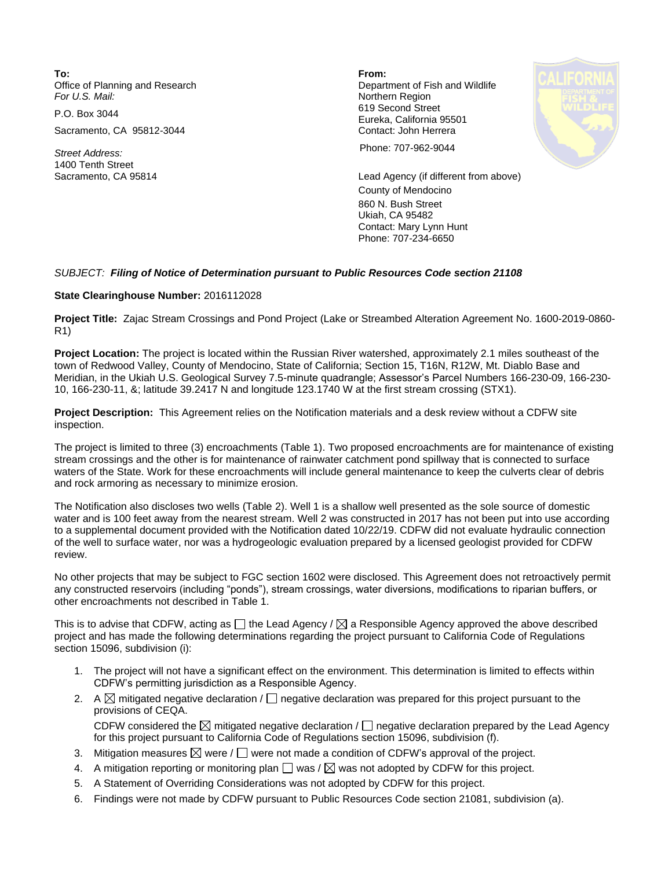**To: From:**  Office of Planning and Research **Department of Fish and Wildlife**<br>
For U.S. Mail: **Department of Fish and Wildlife** 

Sacramento, CA 95812-3044 Contact: John Herrera

1400 Tenth Street<br>Sacramento, CA 95814

**Northern Region** P.O. Box 3044 619 Second Street Eureka, California 95501



*Street Address:* Phone: 707-962-9044

Lead Agency (if different from above) County of Mendocino 860 N. Bush Street Ukiah, CA 95482 Contact: Mary Lynn Hunt Phone: 707-234-6650

## *SUBJECT: Filing of Notice of Determination pursuant to Public Resources Code section 21108*

## **State Clearinghouse Number:** 2016112028

**Project Title:** Zajac Stream Crossings and Pond Project (Lake or Streambed Alteration Agreement No. 1600-2019-0860- R1)

**Project Location:** The project is located within the Russian River watershed, approximately 2.1 miles southeast of the town of Redwood Valley, County of Mendocino, State of California; Section 15, T16N, R12W, Mt. Diablo Base and Meridian, in the Ukiah U.S. Geological Survey 7.5-minute quadrangle; Assessor's Parcel Numbers 166-230-09, 166-230- 10, 166-230-11, &; latitude 39.2417 N and longitude 123.1740 W at the first stream crossing (STX1).

**Project Description:** This Agreement relies on the Notification materials and a desk review without a CDFW site inspection.

The project is limited to three (3) encroachments (Table 1). Two proposed encroachments are for maintenance of existing stream crossings and the other is for maintenance of rainwater catchment pond spillway that is connected to surface waters of the State. Work for these encroachments will include general maintenance to keep the culverts clear of debris and rock armoring as necessary to minimize erosion.

The Notification also discloses two wells (Table 2). Well 1 is a shallow well presented as the sole source of domestic water and is 100 feet away from the nearest stream. Well 2 was constructed in 2017 has not been put into use according to a supplemental document provided with the Notification dated 10/22/19. CDFW did not evaluate hydraulic connection of the well to surface water, nor was a hydrogeologic evaluation prepared by a licensed geologist provided for CDFW review.

No other projects that may be subject to FGC section 1602 were disclosed. This Agreement does not retroactively permit any constructed reservoirs (including "ponds"), stream crossings, water diversions, modifications to riparian buffers, or other encroachments not described in Table 1.

This is to advise that CDFW, acting as  $\Box$  the Lead Agency /  $\boxtimes$  a Responsible Agency approved the above described project and has made the following determinations regarding the project pursuant to California Code of Regulations section 15096, subdivision (i):

- 1. The project will not have a significant effect on the environment. This determination is limited to effects within CDFW's permitting jurisdiction as a Responsible Agency.
- 2. A  $\boxtimes$  mitigated negative declaration /  $\Box$  negative declaration was prepared for this project pursuant to the provisions of CEQA.

CDFW considered the  $\boxtimes$  mitigated negative declaration /  $\Box$  negative declaration prepared by the Lead Agency for this project pursuant to California Code of Regulations section 15096, subdivision (f).

- 3. Mitigation measures  $\boxtimes$  were /  $\Box$  were not made a condition of CDFW's approval of the project.
- 4.  $\;$  A mitigation reporting or monitoring plan  $\Box$  was /  $\boxtimes$  was not adopted by CDFW for this project.
- 5. A Statement of Overriding Considerations was not adopted by CDFW for this project.
- 6. Findings were not made by CDFW pursuant to Public Resources Code section 21081, subdivision (a).